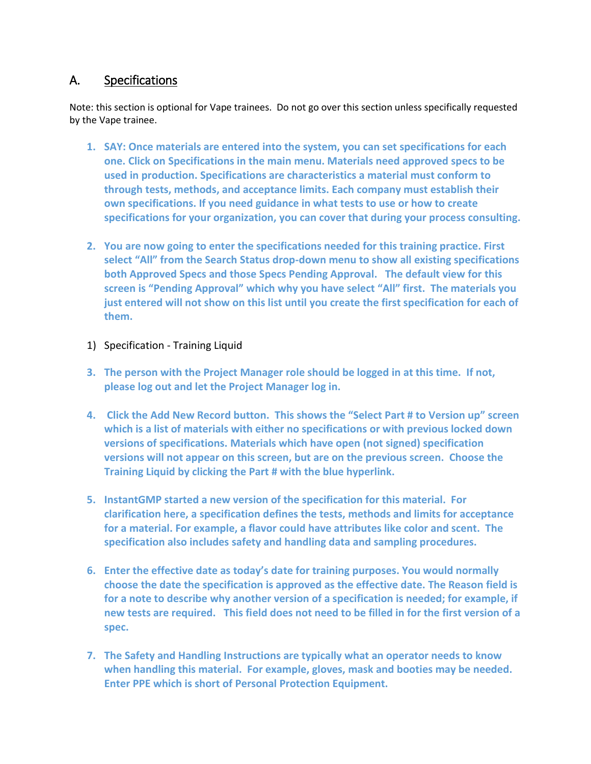## A. Specifications

Note: this section is optional for Vape trainees. Do not go over this section unless specifically requested by the Vape trainee.

- **1. SAY: Once materials are entered into the system, you can set specifications for each one. Click on Specifications in the main menu. Materials need approved specs to be used in production. Specifications are characteristics a material must conform to through tests, methods, and acceptance limits. Each company must establish their own specifications. If you need guidance in what tests to use or how to create specifications for your organization, you can cover that during your process consulting.**
- **2. You are now going to enter the specifications needed for this training practice. First select "All" from the Search Status drop-down menu to show all existing specifications both Approved Specs and those Specs Pending Approval. The default view for this screen is "Pending Approval" which why you have select "All" first. The materials you just entered will not show on this list until you create the first specification for each of them.**
- 1) Specification Training Liquid
- **3. The person with the Project Manager role should be logged in at this time. If not, please log out and let the Project Manager log in.**
- **4. Click the Add New Record button. This shows the "Select Part # to Version up" screen which is a list of materials with either no specifications or with previous locked down versions of specifications. Materials which have open (not signed) specification versions will not appear on this screen, but are on the previous screen. Choose the Training Liquid by clicking the Part # with the blue hyperlink.**
- **5. InstantGMP started a new version of the specification for this material. For clarification here, a specification defines the tests, methods and limits for acceptance for a material. For example, a flavor could have attributes like color and scent. The specification also includes safety and handling data and sampling procedures.**
- **6. Enter the effective date as today's date for training purposes. You would normally choose the date the specification is approved as the effective date. The Reason field is for a note to describe why another version of a specification is needed; for example, if new tests are required. This field does not need to be filled in for the first version of a spec.**
- **7. The Safety and Handling Instructions are typically what an operator needs to know when handling this material. For example, gloves, mask and booties may be needed. Enter PPE which is short of Personal Protection Equipment.**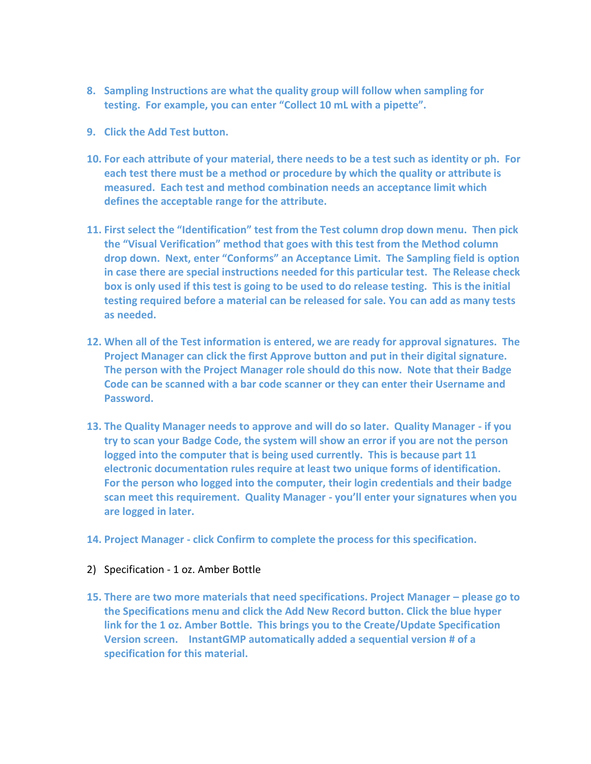- **8. Sampling Instructions are what the quality group will follow when sampling for testing. For example, you can enter "Collect 10 mL with a pipette".**
- **9. Click the Add Test button.**
- **10. For each attribute of your material, there needs to be a test such as identity or ph. For each test there must be a method or procedure by which the quality or attribute is measured. Each test and method combination needs an acceptance limit which defines the acceptable range for the attribute.**
- **11. First select the "Identification" test from the Test column drop down menu. Then pick the "Visual Verification" method that goes with this test from the Method column drop down. Next, enter "Conforms" an Acceptance Limit. The Sampling field is option in case there are special instructions needed for this particular test. The Release check box is only used if this test is going to be used to do release testing. This is the initial testing required before a material can be released for sale. You can add as many tests as needed.**
- **12. When all of the Test information is entered, we are ready for approval signatures. The Project Manager can click the first Approve button and put in their digital signature. The person with the Project Manager role should do this now. Note that their Badge Code can be scanned with a bar code scanner or they can enter their Username and Password.**
- **13. The Quality Manager needs to approve and will do so later. Quality Manager if you try to scan your Badge Code, the system will show an error if you are not the person logged into the computer that is being used currently. This is because part 11 electronic documentation rules require at least two unique forms of identification. For the person who logged into the computer, their login credentials and their badge scan meet this requirement. Quality Manager - you'll enter your signatures when you are logged in later.**
- **14. Project Manager click Confirm to complete the process for this specification.**
- 2) Specification 1 oz. Amber Bottle
- **15. There are two more materials that need specifications. Project Manager – please go to the Specifications menu and click the Add New Record button. Click the blue hyper link for the 1 oz. Amber Bottle. This brings you to the Create/Update Specification Version screen. InstantGMP automatically added a sequential version # of a specification for this material.**